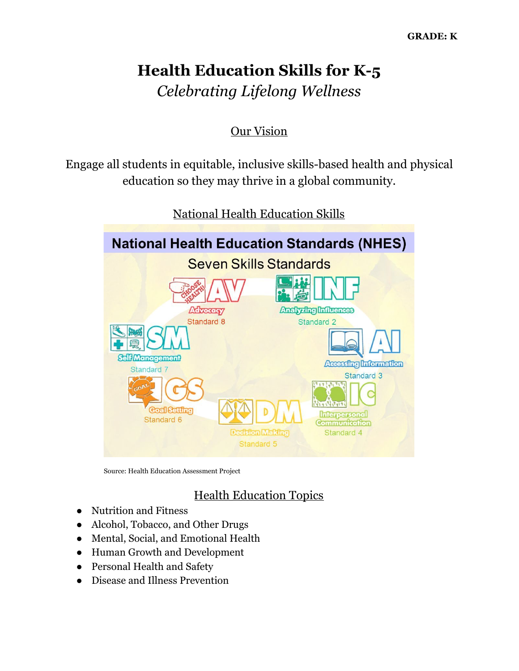# **Health Education Skills for K-5** *Celebrating Lifelong Wellness*

## Our Vision

Engage all students in equitable, inclusive skills-based health and physical education so they may thrive in a global community.



National Health Education Skills

Source: Health Education Assessment Project

# Health Education Topics

- Nutrition and Fitness
- Alcohol, Tobacco, and Other Drugs
- Mental, Social, and Emotional Health
- Human Growth and Development
- Personal Health and Safety
- Disease and Illness Prevention